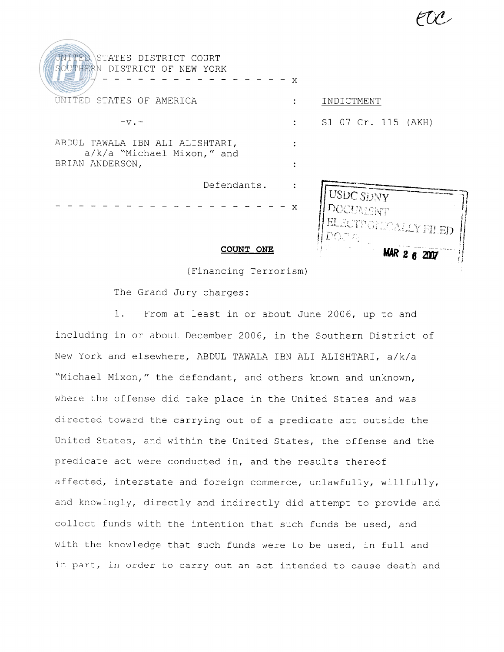| UNITED STATES DISTRICT COURT<br>SOUTHERN DISTRICT OF NEW YORK                    | $\mathbf{X}$ |                                                                                    |
|----------------------------------------------------------------------------------|--------------|------------------------------------------------------------------------------------|
| TED STATES OF AMERICA                                                            |              | INDICTMENT                                                                         |
| $-v -$                                                                           |              | S1 07 Cr. 115 (AKH)                                                                |
| ABDUL TAWALA IBN ALI ALISHTARI,<br>a/k/a "Michael Mixon," and<br>BRIAN ANDERSON, |              |                                                                                    |
| Defendants.                                                                      | $\mathbf{x}$ | I USDC SDNY<br><b>DOCUMENT</b><br><b>ELECTRONICALLY FILED</b><br>$ DOCT_{\alpha} $ |
| COUNT ONE                                                                        |              | MAR 2 8 2007                                                                       |

(Financing Terrorism)

The Grand Jury charges:

1. From at least in or about June 2006, up to and including in or about December 2006, in the Southern District of New York and elsewhere, ABDUL TAWALA IBN ALI ALISHTARI, a/k/a "Michael Mixon," the defendant, and others known and unknown, where the offense did take place in the United States and was directed toward the carrying out of a predicate act outside the United States, and within the United States, the offense and the predicate act were conducted in, and the results thereof affected, interstate and foreign commerce, unlawfully, willfully, and knowingly, directly and indirectly did attempt to provide and collect funds with the intention that such funds be used, and with the knowledge that such funds were to be used, in full and in part, in order to carry out an act intended to cause death and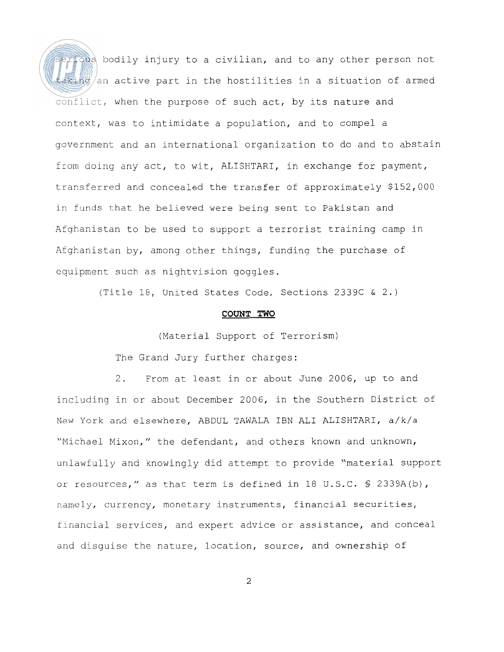ious bodily injury to a civilian, and to any other person not taking/an active part in the hostilities in a situation of armed conflict, when the purpose of such act, by its nature and context, was to intimidate a population, and to compel a government and an international organization to do and to abstain from doing any act, to wit, ALISHTARI, in exchange for payment, transferred and concealed the transfer of approximately \$152,000 in funds that he believed were being sent to Pakistan and Afghanistan to be used to support a terrorist training camp in Afghanistan by, among other things, funding the purchase of equipment such as nightvision goggles.

(Title 18, United States Code, Sections 2339C & 2.)

## COUNT TWO

(Material Support of Terrorism)

The Grand Jury further charges:

2. From at least in or about June 2006, up to and including in or about December 2006, in the Southern District of New York and elsewhere, ABDUL TAWALA IBN ALI ALISHTARI, a/k/a "Michael Mixon," the defendant, and others known and unknown, unlawfully and knowingly did attempt to provide "material support or resources," as that term is defined in 18 U.S.C. § 2339A(b), namely, currency, monetary instruments, financial securities, financial services, and expert advice or assistance, and conceal and disguise the nature, location, source, and ownership of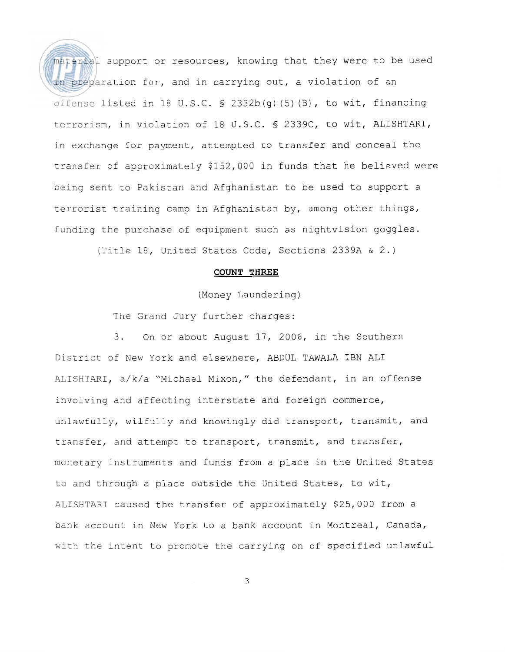material support or resources, knowing that they were to be used in preparation for, and in carrying out, a violation of an offense listed in 18 U.S.C. § 2332b(g) (5) (B) , to wit, financing terrorism, in violation of 18 U.S.C. § 2339C, to wit, ALISHTARI, in exchange for payment, attempted to transfer and conceal the transfer of approximately \$152,000 in funds that he believed were being sent to Pakistan and Afghanistan to be used to support a terrorist training camp in Afghanistan by, among other things, funding the purchase of equipment such as nightvision goggles.

(Title 18, United States Code, Sections 2339A & 2.)

# COUNT THREE

(Money Laundering)

The Grand Jury further charges:

3. On or about August 17, 2006, in the Southern District of New York and elsewhere, ABDUL TAWALA IBN ALI ALISHTARI, a/k/a "Michael Mixon," the defendant, in an offense involving and affecting interstate and foreign commerce, unlawfully, wilfully and knowingly did transport, transmit, and transfer, and attempt to transport, transmit, and transfer, monetary instruments and funds from a place in the United States to and through a place outside the United States, to wit, ALISHTARI caused the transfer of approximately \$25,000 from a bank account in New York to a bank account in Montreal, Canada, with the intent to promote the carrying on of specified unlawful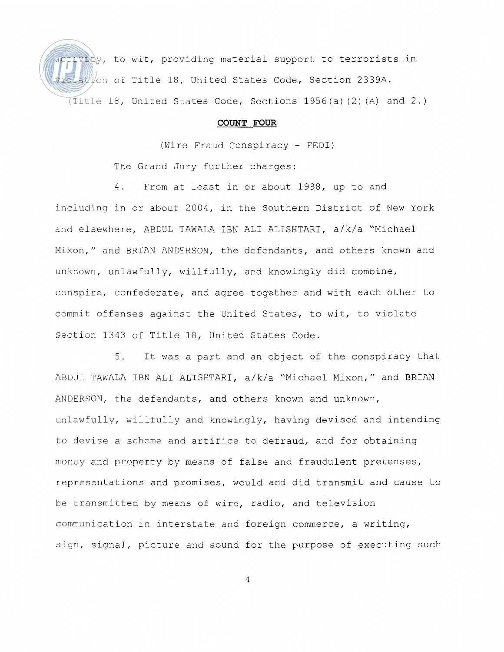$\hat{v}$ ty, to wit, providing material support to terrorists in ation of Title 18, United States Code, Section 2339A. (Title 18, United States Code, Sections  $1956(a)$  (2) (A) and 2.)

# **COUNT FOUR**

(Wire Fraud Conspiracy - FEDI)

The Grand Jury further charges:

4. From at least in or about 1998, up to and including in or about 2004, in the Southern District of New York and elsewhere, ABDUL TAWALA IBN ALI ALISHTARI, a/k/a "Michael Mixon," and BRIAN ANDERSON, the defendants, and others known and unknown, unlawfully, willfully, and knowingly did combine, conspire, confederate, and agree together and with each other to commit offenses against the United States, to wit, to violate Section 1343 of Title 18, United States Code.

5. It was a part and an object of the conspiracy that ABDUL TAWALA IBN ALI ALISHTARI, a/k/a "Michael Mixon," and BRIAN ANDERSON, the defendants, and others known and unknown, unlawfully, willfully and knowingly, having devised and intending to devise a scheme and artifice to defraud, and for obtaining money and property by means of false and fraudulent pretenses, representations and promises, would and did transmit and cause to be transmitted by means of wire, radio, and television communication in interstate and foreign commerce, a writing, sign, signal, picture and sound for the purpose of executing such

 $\overline{4}$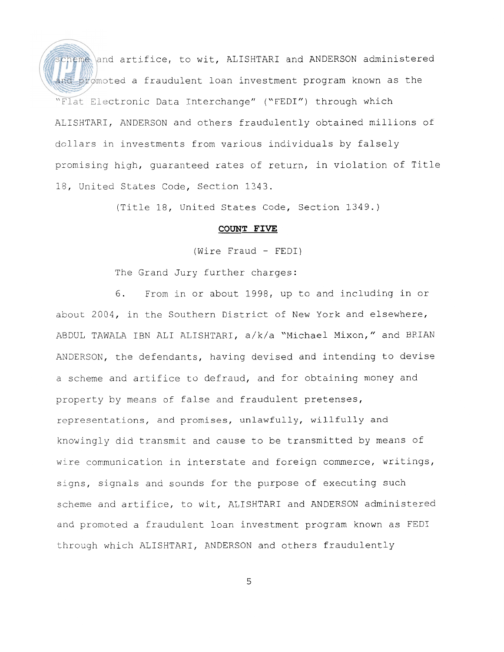cheme and artifice, to wit, ALISHTARI and ANDERSON administered and promoted a fraudulent loan investment program known as the "Flat Electronic Data Interchange" ("FEDI") through which ALISHTARI, ANDERSON and others fraudulently obtained millions of dollars in investments from various individuals by falsely promising high, guaranteed rates of return, in violation of Title 15, United States Code, Section 1343.

(Title 18, United States Code, Section 1349.)

#### **COUNT FIVE**

(Wire Fraud - FEDI)

The Grand Jury further charges:

6. From in or about 1998, up to and including in or about 2004, in the Southern District of New York and elsewhere, ABDUL TAWALA IBN ALI ALISHTARI, a/k/a "Michael Mixon," and BRIAN ANDERSON, the defendants, having devised and intending to devise a scheme and artifice to defraud, and for obtaining money and property by means of false and fraudulent pretenses, representations, and promises, unlawfully, willfully and knowingly did transmit and cause to be transmitted by means of wire communication in interstate and foreign commerce, writings, signs, signals and sounds for the purpose of executing such scheme and artifice, to wit, ALISHTARI and ANDERSON administered and promoted a fraudulent loan investment program known as FEDI through which ALISHTARI, ANDERSON and others fraudulently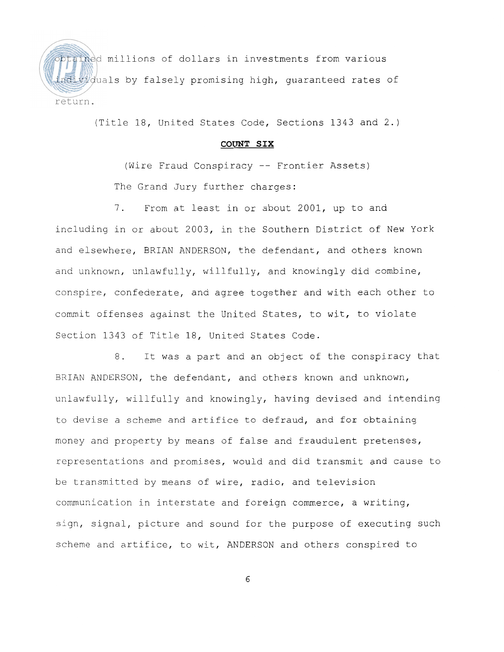obtained millions of dollars in investments from various adividuals by falsely promising high, quaranteed rates of return.

(Title 18, United States Code, Sections 1343 and 2.)

## **COUNT SIX**

(Wire Fraud Conspiracy -- Frontier Assets) The Grand Jury further charges:

7. From at least in or about 2001, up to and including in or about 2003, in the Southern District of New York and elsewhere, BRIAN ANDERSON, the defendant, and others known and unknown, unlawfully, willfully, and knowingly did combine, conspire, confederate, and agree together and with each other to commit offenses against the United States, to wit, to violate Section 1343 of Title 18, United States Code.

8. It was a part and an object of the conspiracy that BRIAN ANDERSON, the defendant, and others known and unknown, unlawfully, willfully and knowingly, having devised and intending to devise a scheme and artifice to defraud, and for obtaining money and property by means of false and fraudulent pretenses, representations and promises, would and did transmit and cause to be transmitted by means of wire, radio, and television communication in interstate and foreign commerce, a writing, sign, signal, picture and sound for the purpose of executing such scheme and artifice, to wit, ANDERSON and others conspired to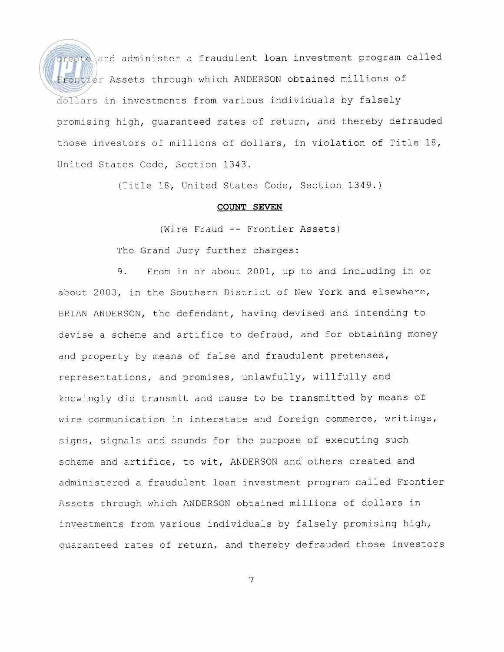reate and administer a fraudulent loan investment program called Frontier Assets through which ANDERSON obtained millions of dollars in investments from various individuals by falsely promising high, guaranteed rates of return, and thereby defrauded those investors of millions of dollars, in violation of Title 18, United States Code, Section 1343.

(Title 18, United States Code, Section 1349.)

# **COUNT SEVEN**

(Wire Fraud -- Frontier Assets)

The Grand Jury further charges:

9. From in or about 2001, up to and including in or about 2003, in the Southern District of New York and elsewhere, ERIAN ANDERSON, the defendant, having devised and intending to devise a scheme and artifice to defraud, and for obtaining money and property by means of false and fraudulent pretenses, representations, and promises, unlawfully, willfully and knowingly did transmit and cause to be transmitted by means of wire communication in interstate and foreign commerce, writings, signs, signals and sounds for the purpose of executing such scheme and artifice, to wit, ANDERSON and others created and administered a fraudulent loan investment program called Frontier Assets through which ANDERSON obtained millions of dollars in investments from various individuals by falsely promising high, guaranteed rates of return, and thereby defrauded those investors

 $\overline{7}$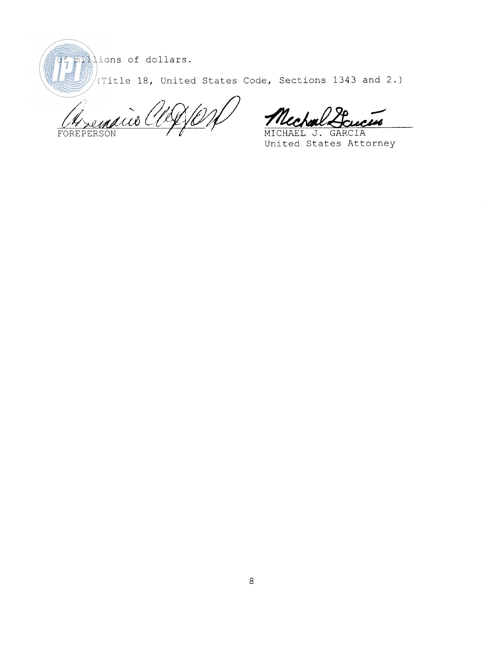millions of dollars.

(Title 18, United States Code, Sections 1343 and 2.)

 $\big\backslash\!\!\!\big\langle\mathscr{O}\big\rangle$ Asemaio Cla FOREPER

ec sub

MICHAEL J. GARCIA United States Attorney